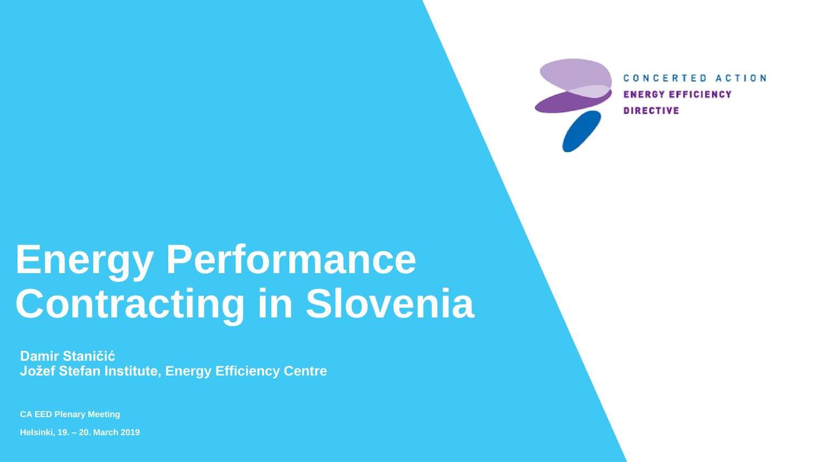# **Energy Performance Contracting in Slovenia**

**CA EED Plenary Meeting** 

**Helsinki, 19. – 20. March 2019**



CONCERTED ACTION **ENERGY EFFICIENCY DIRECTIVE** 

**Damir Staničić Jožef Stefan Institute, Energy Efficiency Centre**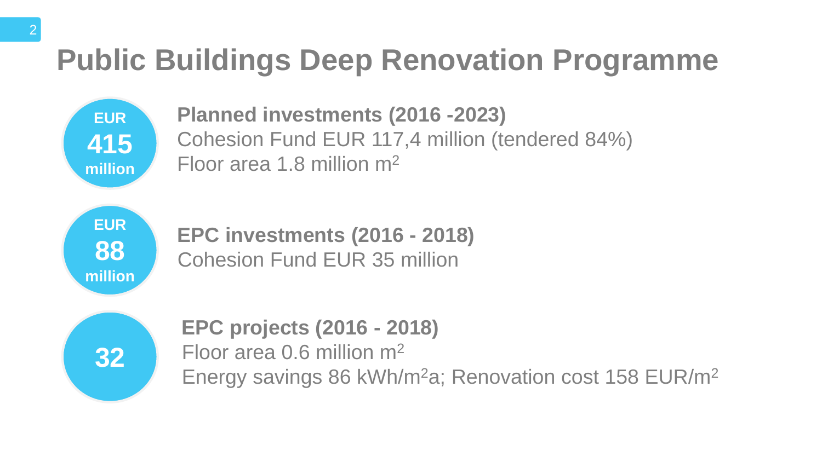# **Public Buildings Deep Renovation Programme**

**Planned investments (2016 -2023)** Cohesion Fund EUR 117,4 million (tendered 84%) Floor area 1.8 million m<sup>2</sup>

**EUR 415 million**





**EPC investments (2016 - 2018)** Cohesion Fund EUR 35 million

**EPC projects (2016 - 2018)** Floor area 0.6 million m<sup>2</sup> Energy savings 86 kWh/m<sup>2</sup>a; Renovation cost 158 EUR/m<sup>2</sup>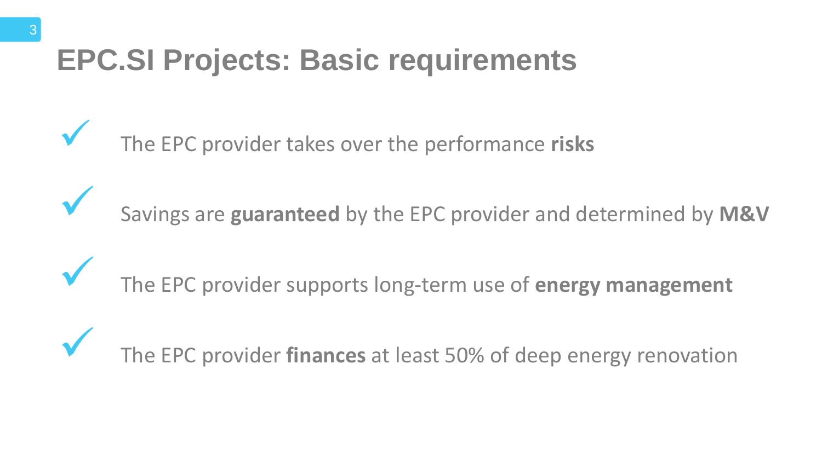## **EPC.SI Projects: Basic requirements**

Savings are **guaranteed** by the EPC provider and determined by **M&V**

- The EPC provider takes over the performance **risks**
	-
- The EPC provider supports long‐term use of **energy management**

# The EPC provider **finances** at least 50% of deep energy renovation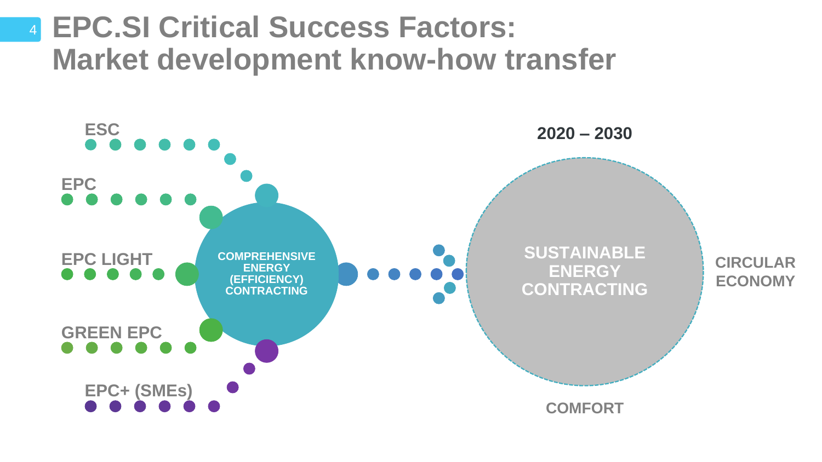# **SUSTAINABLE ENERGY CONTRACTING The Company of the Company of the Company**



#### 4 **EPC.SI Critical Success Factors: Market development know-how transfer**

#### **2020 – 2030**

#### **COMFORT**

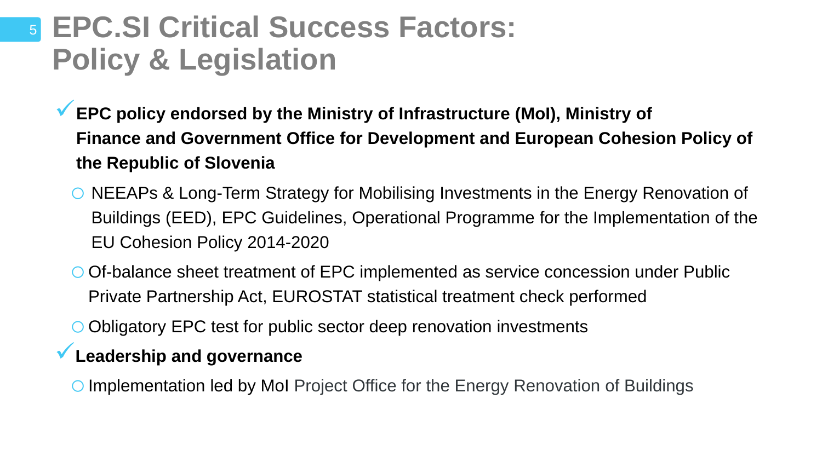### <sup>5</sup> **EPC.SI Critical Success Factors: Policy & Legislation**

- **EPC policy endorsed by the Ministry of Infrastructure (MoI), Ministry of the Republic of Slovenia** 
	- EU Cohesion Policy 2014-2020
	- Private Partnership Act, EUROSTAT statistical treatment check performed
	- oObligatory EPC test for public sector deep renovation investments
	- **Leadership and governance**
	- O Implementation led by MoI Project Office for the Energy Renovation of Buildings

# **Finance and Government Office for Development and European Cohesion Policy of**

o NEEAPs & Long-Term Strategy for Mobilising Investments in the Energy Renovation of Buildings (EED), EPC Guidelines, Operational Programme for the Implementation of the

oOf-balance sheet treatment of EPC implemented as service concession under Public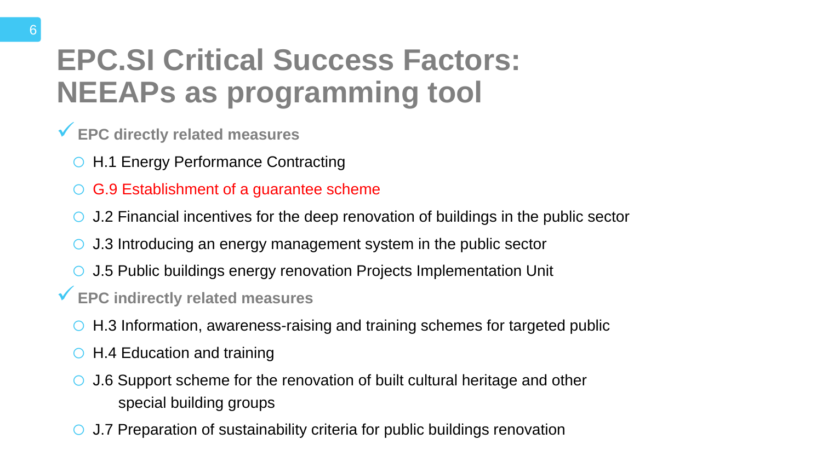### **EPC.SI Critical Success Factors: NEEAPs as programming tool**

- **EPC directly related measures** 
	- o H.1 Energy Performance Contracting
	- o G.9 Establishment of a guarantee scheme
	- o J.2 Financial incentives for the deep renovation of buildings in the public sector
	- o J.3 Introducing an energy management system in the public sector
	- o J.5 Public buildings energy renovation Projects Implementation Unit
- **EPC indirectly related measures** 
	- o H.3 Information, awareness-raising and training schemes for targeted public
	- o H.4 Education and training
	- o J.6 Support scheme for the renovation of built cultural heritage and other special building groups
	- o J.7 Preparation of sustainability criteria for public buildings renovation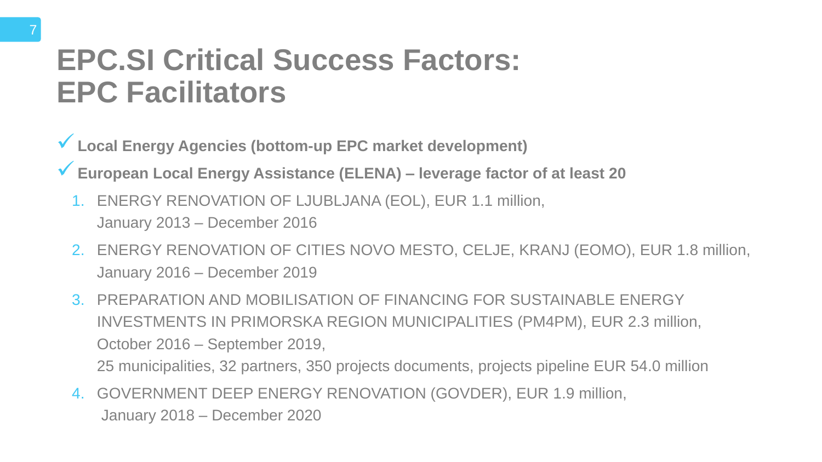### **EPC.SI Critical Success Factors: EPC Facilitators**

- **Local Energy Agencies (bottom-up EPC market development)**
- **European Local Energy Assistance (ELENA) – leverage factor of at least 20**
	- 1. ENERGY RENOVATION OF LJUBLJANA (EOL), EUR 1.1 million, January 2013 – December 2016
	- 2. ENERGY RENOVATION OF CITIES NOVO MESTO, CELJE, KRANJ (EOMO), EUR 1.8 million, January 2016 – December 2019
	- 3. PREPARATION AND MOBILISATION OF FINANCING FOR SUSTAINABLE ENERGY INVESTMENTS IN PRIMORSKA REGION MUNICIPALITIES (PM4PM), EUR 2.3 million, October 2016 – September 2019, 25 municipalities, 32 partners, 350 projects documents, projects pipeline EUR 54.0 million
	- 4. GOVERNMENT DEEP ENERGY RENOVATION (GOVDER), EUR 1.9 million, January 2018 – December 2020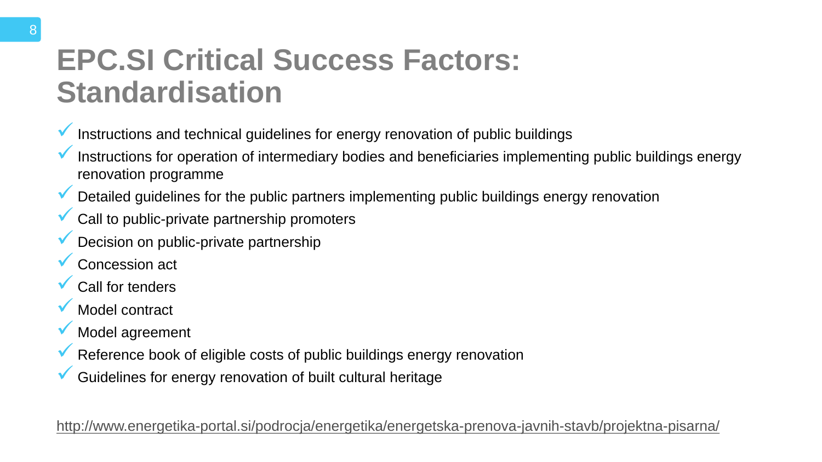### **EPC.SI Critical Success Factors: Standardisation**

Instructions for operation of intermediary bodies and beneficiaries implementing public buildings energy

- $\blacktriangledown$  Instructions and technical guidelines for energy renovation of public buildings
	- renovation programme
- Detailed guidelines for the public partners implementing public buildings energy renovation
- Call to public-private partnership promoters
- Decision on public-private partnership
- Concession act
- Call for tenders
- Model contract
- Model agreement
- **V** Reference book of eligible costs of public buildings energy renovation
	- Guidelines for energy renovation of built cultural heritage

<http://www.energetika-portal.si/podrocja/energetika/energetska-prenova-javnih-stavb/projektna-pisarna/>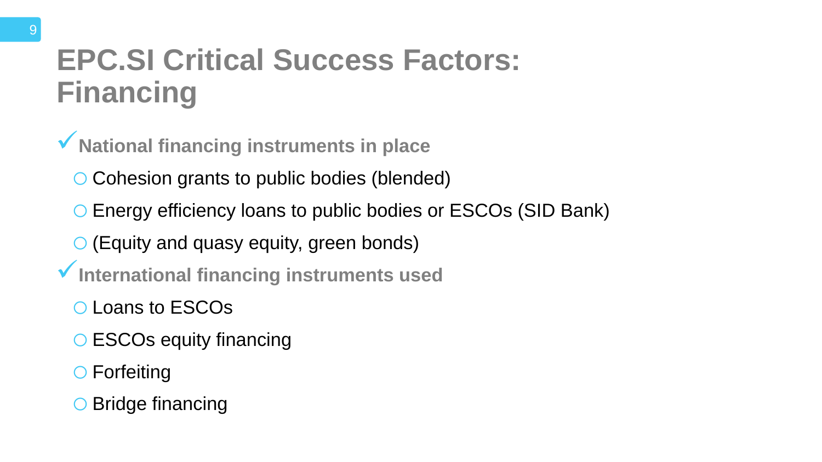### **EPC.SI Critical Success Factors: Financing**

- **National financing instruments in place**
	- o Cohesion grants to public bodies (blended)
	- o Energy efficiency loans to public bodies or ESCOs (SID Bank)
	- o(Equity and quasy equity, green bonds)
- **International financing instruments used**
	- oLoans to ESCOs
	- o ESCOs equity financing
	- o Forfeiting
	- o Bridge financing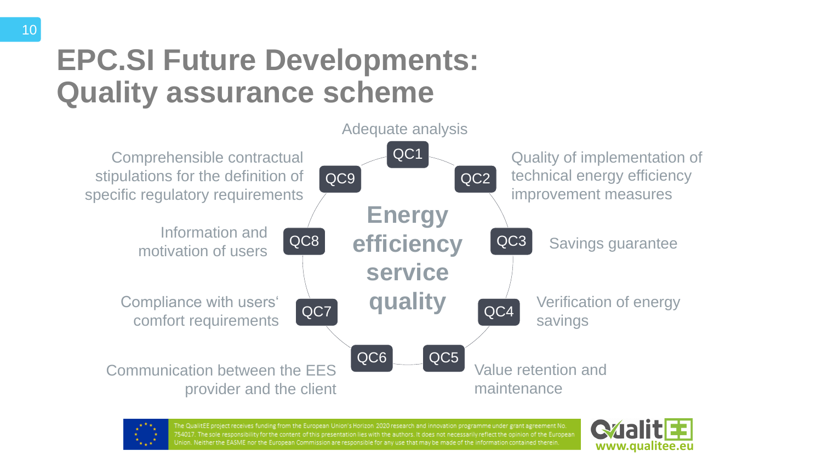### **EPC.SI Future Developments: Quality assurance scheme**

QC7

QC8

QC9

Comprehensible contractual stipulations for the definition of specific regulatory requirements



Communication between the EES provider and the client



The QualitEE project receives funding from the European Union's Horizon 2020 research and innovation programme under grant agreement No. 754017. The sole responsibility for the content of this presentation lies with the authors. It does not necessarily reflect the opinion of the European Union. Neither the EASME nor the European Commission are responsible for any use that may be made of the information contained therein.

Compliance with users' comfort requirements

Information and motivation of users

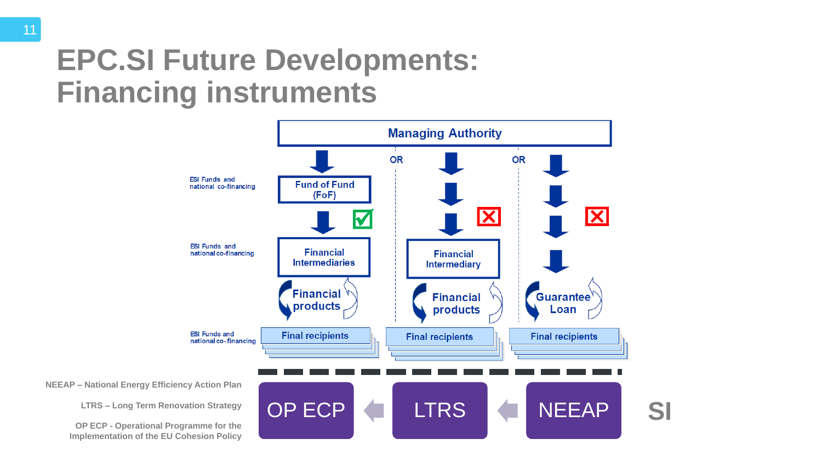### **EPC.SI Future Developments: Financing instruments**

**NEEAP – National Energy Efficiency Action Plan**

**LTRS – Long Term Renovation Strategy**

**OP ECP - Operational Programme for the Implementation of the EU Cohesion Policy**

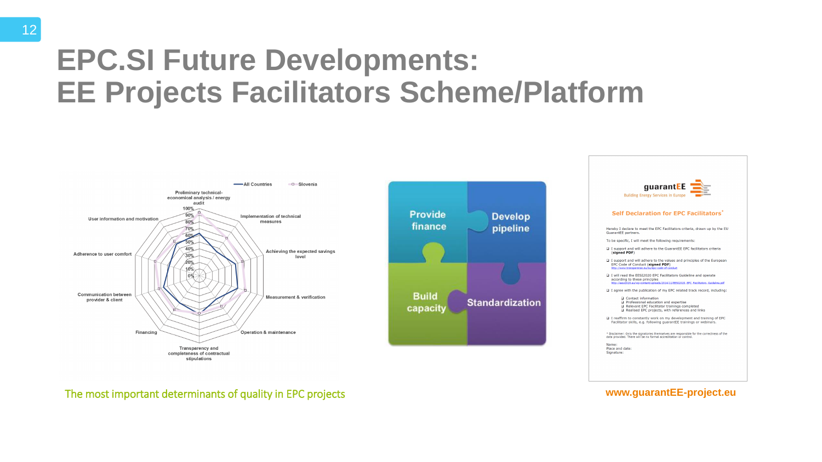### **EPC.SI Future Developments: EE Projects Facilitators Scheme/Platform**







#### The most important determinants of quality in EPC projects **www.guarantEE-project.eu**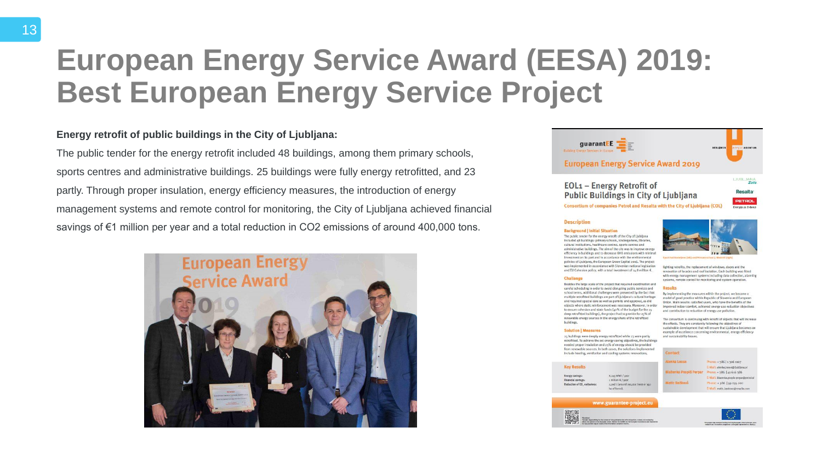### **European Energy Service Award (EESA) 2019: Best European Energy Service Project**

The public tender for the energy retrofit included 48 buildings, among them primary schools, sports centres and administrative buildings. 25 buildings were fully energy retrofitted, and 23 partly. Through proper insulation, energy efficiency measures, the introduction of energy management systems and remote control for monitoring, the City of Ljubljana achieved financial savings of €1 million per year and a total reduction in CO2 emissions of around 400,000 tons.



- 
- 
- 
- 

guarant  $EE =$ 

**BERLINER** *RETEIL* **ASSESSES** 

#### **European Energy Service Award 2019**

#### EOL1 - Energy Retrofit of **Public Buildings in City of Ljubljana**

**JUBL JANA** Zate

**Resalta** 

**PETROL** 

Energija za življenje

Consortium of companies Petrol and Resalta with the City of Ljubljana (COL)

#### **Description**

#### **Background | Initial Situation**

The public tender for the energy retrofit of the City of Ljubljana included 48 buildings: primary schools, kindergartens, libraries, cultural institutions, healthcare centres, sports centres and administrative buildings. The aim of the city was to improve energ efficiency in buildings and to decrease GHG emissions with minimal investment on its part and in accordance with the environmental policies of Ljubljana, the European Green Capital 2016. The project was implemented in accordance with Slovenian national legislation and EU Cohesion policy, with a total investment of 14.8 million €.

#### **Challenge**

Besides the large scale of the project that required coordination and careful scheduling in order to avoid disrupting public services and school terms, additional challenges were presented by the fact that multiple retrofitted buildings are part of Ljubljana's cultural heritage and required special care as well as permits and approval, as did objects where static reinforcement was necessary. Moreover, in order to ensure cohesion and state funds (40% of the budget for the 25 deep retrofitted buildings), the project had to provide for 25% of renewable energy sources in the energy share of the retrofitted buildings.

#### **Solution | Measures**

25 buildings were deeply energy retrofitted while 23 were partly retrofitted. To achieve the set energy saving objectives, the buildings needed proper insulation and 25% of energy should be provided from renewable sources. In both cases, the solutions implemented include heating, ventilation and cooling systems renovations,

#### **Key Results**

Energy savings: **Financial savings** Reduction of CO, em

8.245 MWh / year  $i$  million  $\in$  / year 2,956 t (around 150 ha of forest).

www.guarantee-project.er





lighting retrofits, the replacement of windows, doors and the renovation of facades and roof isolation. Each building was fitted with energy management systems including data collection, alarming systems, remote control for monitoring and system operation.

#### **Results**

By implementing the measures within the project, we became a model of good practice within Republic of Slovenia and European Union. Main results: satisfied users, who have the benefits of the Improved indoor comfort, achieved energy use reduction objectives and contribution to reduction of energy use pollution.

The consortium is continuing with retrofit of objects that will increase the effects. They are constantly following the objectives of sustainable development that will ensure that Ljubljana becomes an example of excellence concerning environmental, energy efficiency and sustainability issues.

| lenka Loose           | Phone: + 386   1 306 1107                |
|-----------------------|------------------------------------------|
|                       | E-Mail: alenka.loose@Bubllana.sl         |
| laženka Pospiš Perpar | Phone: +386   41 616 386                 |
|                       | E-Mail: blazenka.pospis-perpan@petrol.sl |
| atic Baškovc          | Phone: +386  59 035 200                  |
|                       | E-Mail: matic.baskovc@resalta.com        |
|                       |                                          |



#### **Energy retrofit of public buildings in the City of Ljubljana:**